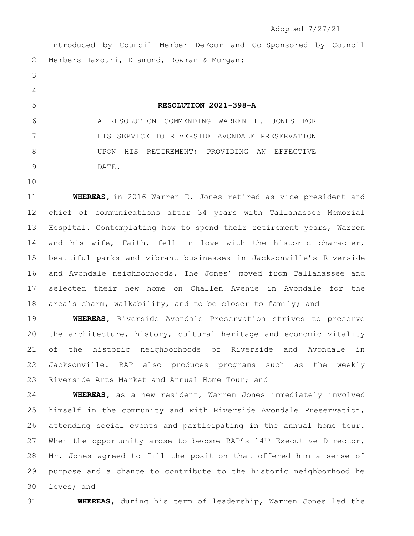Adopted 7/27/21 Introduced by Council Member DeFoor and Co-Sponsored by Council 2 | Members Hazouri, Diamond, Bowman & Morgan: **RESOLUTION 2021-398-A** A RESOLUTION COMMENDING WARREN E. JONES FOR 7 HIS SERVICE TO RIVERSIDE AVONDALE PRESERVATION 8 UPON HIS RETIREMENT; PROVIDING AN EFFECTIVE DATE. **WHEREAS,** in 2016 Warren E. Jones retired as vice president and chief of communications after 34 years with Tallahassee Memorial Hospital. Contemplating how to spend their retirement years, Warren 14 and his wife, Faith, fell in love with the historic character, beautiful parks and vibrant businesses in Jacksonville's Riverside and Avondale neighborhoods. The Jones' moved from Tallahassee and

 selected their new home on Challen Avenue in Avondale for the 18 area's charm, walkability, and to be closer to family; and

 **WHEREAS,** Riverside Avondale Preservation strives to preserve the architecture, history, cultural heritage and economic vitality of the historic neighborhoods of Riverside and Avondale in Jacksonville. RAP also produces programs such as the weekly 23 Riverside Arts Market and Annual Home Tour; and

 **WHEREAS,** as a new resident, Warren Jones immediately involved himself in the community and with Riverside Avondale Preservation, attending social events and participating in the annual home tour. 27 When the opportunity arose to become RAP's  $14<sup>th</sup>$  Executive Director, Mr. Jones agreed to fill the position that offered him a sense of purpose and a chance to contribute to the historic neighborhood he loves; and

**WHEREAS,** during his term of leadership, Warren Jones led the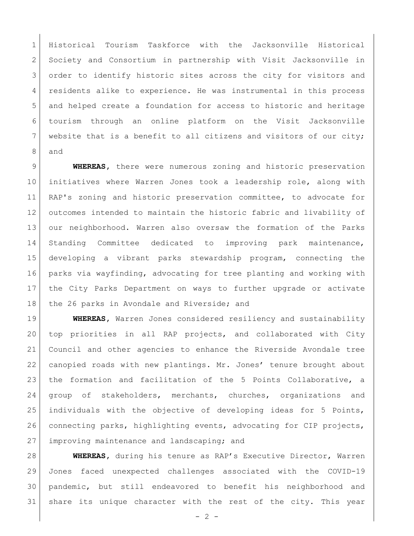Historical Tourism Taskforce with the Jacksonville Historical Society and Consortium in partnership with Visit Jacksonville in 3 order to identify historic sites across the city for visitors and residents alike to experience. He was instrumental in this process and helped create a foundation for access to historic and heritage tourism through an online platform on the Visit Jacksonville website that is a benefit to all citizens and visitors of our city; and

 **WHEREAS,** there were numerous zoning and historic preservation initiatives where Warren Jones took a leadership role, along with 11 RAP's zoning and historic preservation committee, to advocate for outcomes intended to maintain the historic fabric and livability of our neighborhood. Warren also oversaw the formation of the Parks Standing Committee dedicated to improving park maintenance, developing a vibrant parks stewardship program, connecting the parks via wayfinding, advocating for tree planting and working with the City Parks Department on ways to further upgrade or activate 18 the 26 parks in Avondale and Riverside; and

 **WHEREAS,** Warren Jones considered resiliency and sustainability top priorities in all RAP projects, and collaborated with City Council and other agencies to enhance the Riverside Avondale tree canopied roads with new plantings. Mr. Jones' tenure brought about 23 | the formation and facilitation of the 5 Points Collaborative, a group of stakeholders, merchants, churches, organizations and individuals with the objective of developing ideas for 5 Points, connecting parks, highlighting events, advocating for CIP projects, 27 improving maintenance and landscaping; and

 **WHEREAS,** during his tenure as RAP's Executive Director, Warren Jones faced unexpected challenges associated with the COVID-19 pandemic, but still endeavored to benefit his neighborhood and share its unique character with the rest of the city. This year

 $-2 -$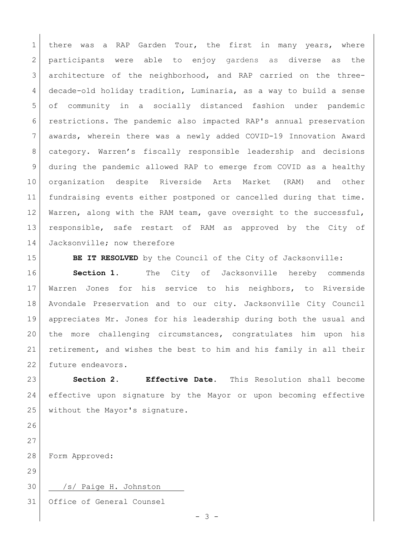1 there was a RAP Garden Tour, the first in many years, where participants were able to enjoy gardens as diverse as the architecture of the neighborhood, and RAP carried on the three- decade-old holiday tradition, Luminaria, as a way to build a sense of community in a socially distanced fashion under pandemic restrictions. The pandemic also impacted RAP's annual preservation awards, wherein there was a newly added COVID-19 Innovation Award category. Warren's fiscally responsible leadership and decisions during the pandemic allowed RAP to emerge from COVID as a healthy organization despite Riverside Arts Market (RAM) and other fundraising events either postponed or cancelled during that time. 12 Warren, along with the RAM team, gave oversight to the successful, responsible, safe restart of RAM as approved by the City of 14 Jacksonville; now therefore

**BE IT RESOLVED** by the Council of the City of Jacksonville:

**Section 1.** The City of Jacksonville hereby commends Warren Jones for his service to his neighbors, to Riverside Avondale Preservation and to our city. Jacksonville City Council appreciates Mr. Jones for his leadership during both the usual and the more challenging circumstances, congratulates him upon his retirement, and wishes the best to him and his family in all their 22 future endeavors.

 **Section 2. Effective Date.** This Resolution shall become effective upon signature by the Mayor or upon becoming effective 25 without the Mayor's signature.

Form Approved:

30 | /s/ Paige H. Johnston

Office of General Counsel